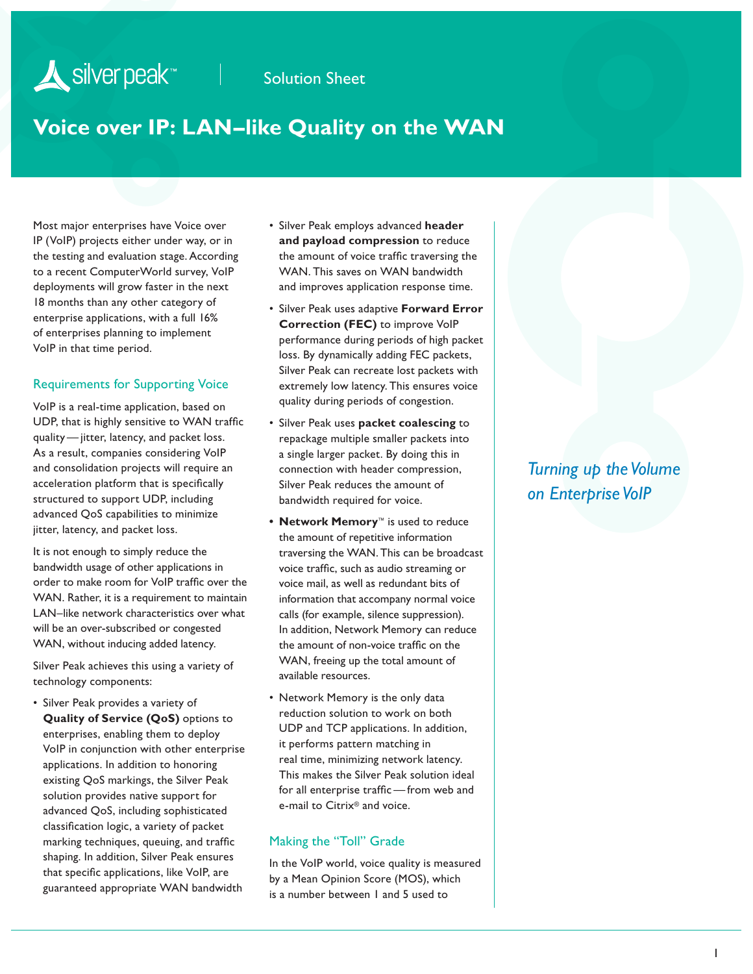# **Voice over IP: LAN–like Quality on the WAN**

Most major enterprises have Voice over IP (VoIP) projects either under way, or in the testing and evaluation stage. According to a recent ComputerWorld survey, VoIP deployments will grow faster in the next 18 months than any other category of enterprise applications, with a full 16% of enterprises planning to implement VoIP in that time period.

Silver peak<sup>\*\*</sup>

#### Requirements for Supporting Voice

VoIP is a real-time application, based on UDP, that is highly sensitive to WAN traffic quality — jitter, latency, and packet loss. As a result, companies considering VoIP and consolidation projects will require an acceleration platform that is specifically structured to support UDP, including advanced QoS capabilities to minimize jitter, latency, and packet loss.

It is not enough to simply reduce the bandwidth usage of other applications in order to make room for VoIP traffic over the WAN. Rather, it is a requirement to maintain LAN–like network characteristics over what will be an over-subscribed or congested WAN, without inducing added latency.

Silver Peak achieves this using a variety of technology components:

• Silver Peak provides a variety of **Quality of Service (QoS)** options to enterprises, enabling them to deploy VoIP in conjunction with other enterprise applications. In addition to honoring existing QoS markings, the Silver Peak solution provides native support for advanced QoS, including sophisticated classification logic, a variety of packet marking techniques, queuing, and traffic shaping. In addition, Silver Peak ensures that specific applications, like VoIP, are guaranteed appropriate WAN bandwidth

- Silver Peak employs advanced **header and payload compression** to reduce the amount of voice traffic traversing the WAN. This saves on WAN bandwidth and improves application response time.
- Silver Peak uses adaptive **Forward Error Correction (FEC)** to improve VoIP performance during periods of high packet loss. By dynamically adding FEC packets, Silver Peak can recreate lost packets with extremely low latency. This ensures voice quality during periods of congestion.
- Silver Peak uses **packet coalescing** to repackage multiple smaller packets into a single larger packet. By doing this in connection with header compression, Silver Peak reduces the amount of bandwidth required for voice.
- **• Network Memory**™ is used to reduce the amount of repetitive information traversing the WAN. This can be broadcast voice traffic, such as audio streaming or voice mail, as well as redundant bits of information that accompany normal voice calls (for example, silence suppression). In addition, Network Memory can reduce the amount of non-voice traffic on the WAN, freeing up the total amount of available resources.
- Network Memory is the only data reduction solution to work on both UDP and TCP applications. In addition, it performs pattern matching in real time, minimizing network latency. This makes the Silver Peak solution ideal for all enterprise traffic— from web and e-mail to Citrix® and voice.

#### Making the "Toll" Grade

In the VoIP world, voice quality is measured by a Mean Opinion Score (MOS), which is a number between 1 and 5 used to

## *Turning up the Volume on Enterprise VoIP*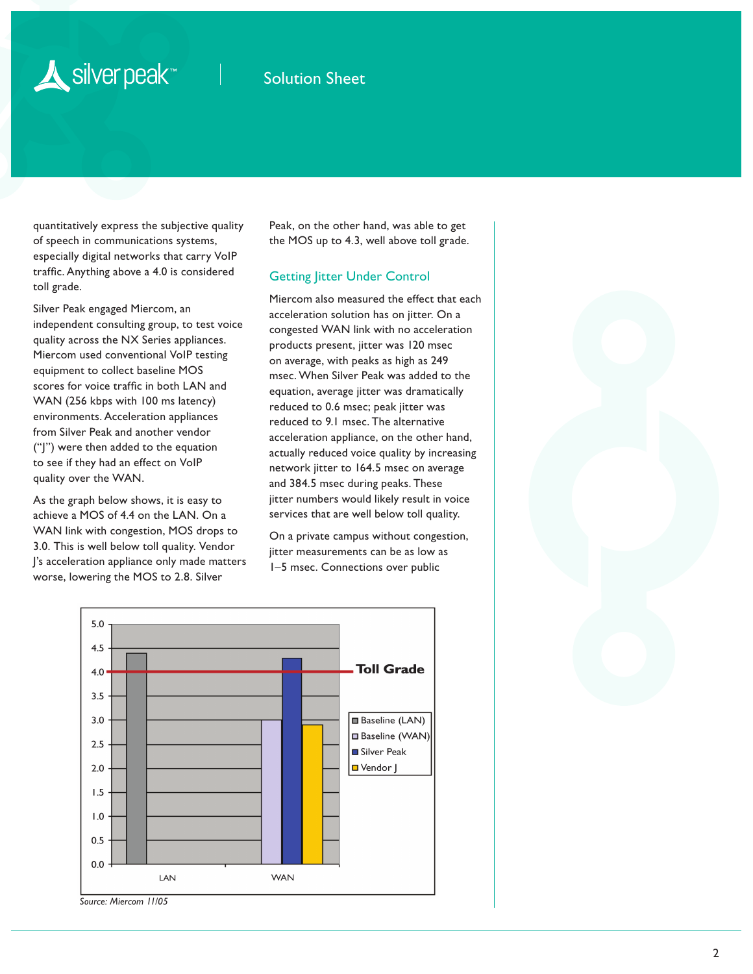# Silver peak<sup>\*\*</sup>

## Solution Sheet

quantitatively express the subjective quality of speech in communications systems, especially digital networks that carry VoIP traffic. Anything above a 4.0 is considered toll grade.

Silver Peak engaged Miercom, an independent consulting group, to test voice quality across the NX Series appliances. Miercom used conventional VoIP testing equipment to collect baseline MOS scores for voice traffic in both LAN and WAN (256 kbps with 100 ms latency) environments. Acceleration appliances from Silver Peak and another vendor ("J") were then added to the equation to see if they had an effect on VoIP quality over the WAN.

As the graph below shows, it is easy to achieve a MOS of 4.4 on the LAN. On a WAN link with congestion, MOS drops to 3.0. This is well below toll quality. Vendor J's acceleration appliance only made matters worse, lowering the MOS to 2.8. Silver

Peak, on the other hand, was able to get the MOS up to 4.3, well above toll grade.

#### Getting Jitter Under Control

Miercom also measured the effect that each acceleration solution has on jitter. On a congested WAN link with no acceleration products present, jitter was 120 msec on average, with peaks as high as 249 msec. When Silver Peak was added to the equation, average jitter was dramatically reduced to 0.6 msec; peak jitter was reduced to 9.1 msec. The alternative acceleration appliance, on the other hand, actually reduced voice quality by increasing network jitter to 164.5 msec on average and 384.5 msec during peaks. These jitter numbers would likely result in voice services that are well below toll quality.

On a private campus without congestion, jitter measurements can be as low as 1–5 msec. Connections over public